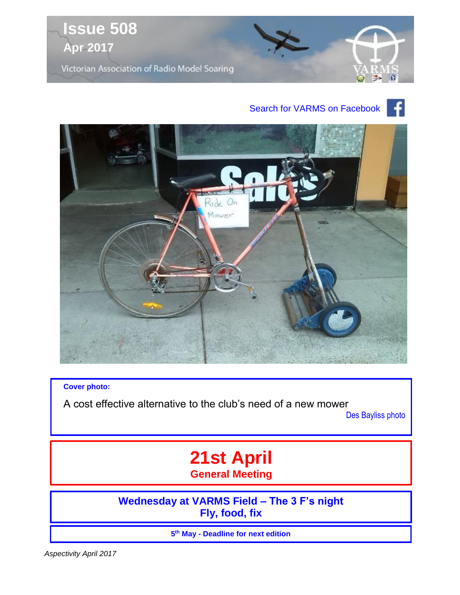

## Search for VARMS on Facebook



**Cover photo:**

A cost effective alternative to the club's need of a new mower

Des Bayliss photo

# **21st April General Meeting**

**Wednesday at VARMS Field – The 3 F's night Fly, food, fix**

**5 th May - Deadline for next edition**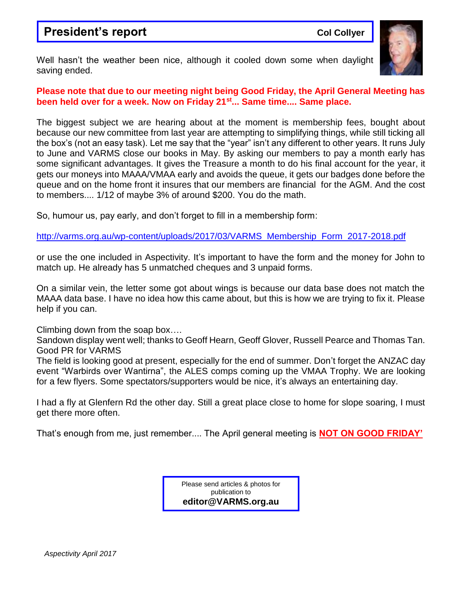## **President's report Collyer College Collyer**



Well hasn't the weather been nice, although it cooled down some when daylight saving ended.

### **Please note that due to our meeting night being Good Friday, the April General Meeting has been held over for a week. Now on Friday 21st... Same time.... Same place.**

The biggest subject we are hearing about at the moment is membership fees, bought about because our new committee from last year are attempting to simplifying things, while still ticking all the box's (not an easy task). Let me say that the "year" isn't any different to other years. It runs July to June and VARMS close our books in May. By asking our members to pay a month early has some significant advantages. It gives the Treasure a month to do his final account for the year, it gets our moneys into MAAA/VMAA early and avoids the queue, it gets our badges done before the queue and on the home front it insures that our members are financial for the AGM. And the cost to members.... 1/12 of maybe 3% of around \$200. You do the math.

So, humour us, pay early, and don't forget to fill in a membership form:

[http://varms.org.au/wp-content/uploads/2017/03/VARMS\\_Membership\\_Form\\_2017-2018.pdf](http://varms.org.au/wp-content/uploads/2017/03/VARMS_Membership_Form_2017-2018.pdf)

or use the one included in Aspectivity. It's important to have the form and the money for John to match up. He already has 5 unmatched cheques and 3 unpaid forms.

On a similar vein, the letter some got about wings is because our data base does not match the MAAA data base. I have no idea how this came about, but this is how we are trying to fix it. Please help if you can.

Climbing down from the soap box….

Sandown display went well; thanks to Geoff Hearn, Geoff Glover, Russell Pearce and Thomas Tan. Good PR for VARMS

The field is looking good at present, especially for the end of summer. Don't forget the ANZAC day event "Warbirds over Wantirna", the ALES comps coming up the VMAA Trophy. We are looking for a few flyers. Some spectators/supporters would be nice, it's always an entertaining day.

I had a fly at Glenfern Rd the other day. Still a great place close to home for slope soaring, I must get there more often.

That's enough from me, just remember.... The April general meeting is **NOT ON GOOD FRIDAY'**

Please send articles & photos for publication to **editor@VARMS.org.au**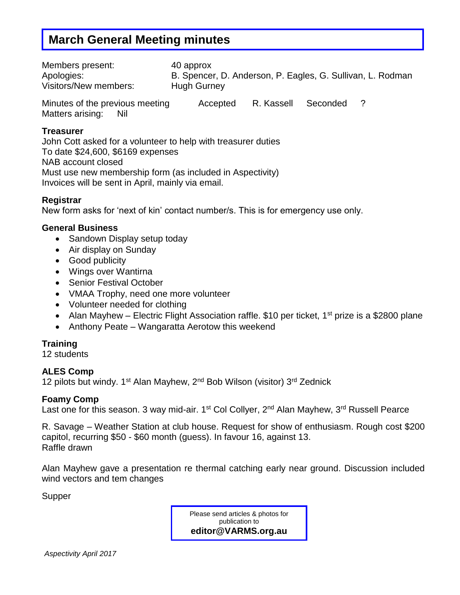## **March General Meeting minutes**

| Members present:                | 40 approx                                                  |            |          |  |  |  |  |
|---------------------------------|------------------------------------------------------------|------------|----------|--|--|--|--|
| Apologies:                      | B. Spencer, D. Anderson, P. Eagles, G. Sullivan, L. Rodman |            |          |  |  |  |  |
| Visitors/New members:           | <b>Hugh Gurney</b>                                         |            |          |  |  |  |  |
| Minutes of the previous meeting | Accepted                                                   | R. Kassell | Seconded |  |  |  |  |

Matters arising: Nil

### **Treasurer**

John Cott asked for a volunteer to help with treasurer duties To date \$24,600, \$6169 expenses NAB account closed Must use new membership form (as included in Aspectivity) Invoices will be sent in April, mainly via email.

### **Registrar**

New form asks for 'next of kin' contact number/s. This is for emergency use only.

### **General Business**

- Sandown Display setup today
- Air display on Sunday
- Good publicity
- Wings over Wantirna
- Senior Festival October
- VMAA Trophy, need one more volunteer
- Volunteer needed for clothing
- Alan Mayhew Electric Flight Association raffle. \$10 per ticket, 1<sup>st</sup> prize is a \$2800 plane
- Anthony Peate Wangaratta Aerotow this weekend

### **Training**

12 students

### **ALES Comp**

12 pilots but windy. 1<sup>st</sup> Alan Mayhew, 2<sup>nd</sup> Bob Wilson (visitor) 3<sup>rd</sup> Zednick

### **Foamy Comp**

Last one for this season. 3 way mid-air. 1<sup>st</sup> Col Collyer, 2<sup>nd</sup> Alan Mayhew, 3<sup>rd</sup> Russell Pearce

R. Savage – Weather Station at club house. Request for show of enthusiasm. Rough cost \$200 capitol, recurring \$50 - \$60 month (guess). In favour 16, against 13. Raffle drawn

Alan Mayhew gave a presentation re thermal catching early near ground. Discussion included wind vectors and tem changes

Supper

Please send articles & photos for publication to **editor@VARMS.org.au**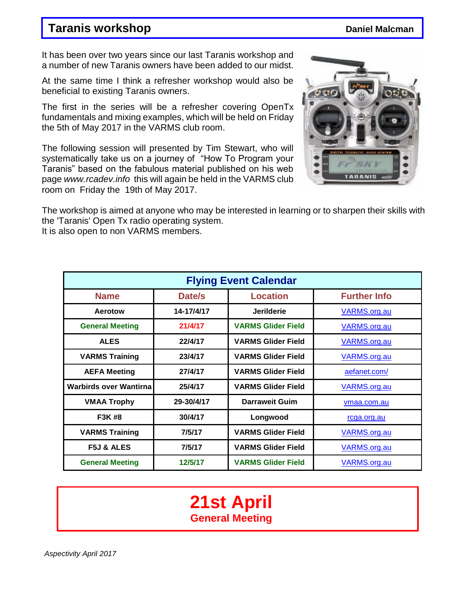## **Taranis workshop** *Daniel Malcman*

It has been over two years since our last Taranis workshop and a number of new Taranis owners have been added to our midst.

At the same time I think a refresher workshop would also be beneficial to existing Taranis owners.

The first in the series will be a refresher covering OpenTx fundamentals and mixing examples, which will be held on Friday the 5th of May 2017 in the VARMS club room.

The following session will presented by Tim Stewart, who will systematically take us on a journey of "How To Program your Taranis" based on the fabulous material published on his web page *www.rcadev.info* this will again be held in the VARMS club room on Friday the 19th of May 2017.



The workshop is aimed at anyone who may be interested in learning or to sharpen their skills with the 'Taranis' Open Tx radio operating system.

It is also open to non VARMS members.

| <b>Flying Event Calendar</b> |                     |                           |                     |  |  |
|------------------------------|---------------------|---------------------------|---------------------|--|--|
| <b>Name</b>                  | <b>Further Info</b> |                           |                     |  |  |
| Aerotow                      | 14-17/4/17          | <b>Jerilderie</b>         | VARMS.org.au        |  |  |
| <b>General Meeting</b>       | 21/4/17             | <b>VARMS Glider Field</b> | <b>VARMS.org.au</b> |  |  |
| <b>ALES</b>                  | 22/4/17             | <b>VARMS Glider Field</b> | VARMS.org.au        |  |  |
| <b>VARMS Training</b>        | 23/4/17             | <b>VARMS Glider Field</b> | <b>VARMS.org.au</b> |  |  |
| <b>AEFA Meeting</b>          | 27/4/17             | <b>VARMS Glider Field</b> | aefanet.com/        |  |  |
| Warbirds over Wantirnal      | 25/4/17             | <b>VARMS Glider Field</b> | <b>VARMS.org.au</b> |  |  |
| <b>VMAA Trophy</b>           | 29-30/4/17          | <b>Darraweit Guim</b>     | vmaa.com.au         |  |  |
| F3K #8                       | 30/4/17             | Longwood                  | rcga.org.au         |  |  |
| <b>VARMS Training</b>        | 7/5/17              | <b>VARMS Glider Field</b> | <b>VARMS.org.au</b> |  |  |
| <b>F5J &amp; ALES</b>        | 7/5/17              | <b>VARMS Glider Field</b> | VARMS.org.au        |  |  |
| <b>General Meeting</b>       | 12/5/17             | <b>VARMS Glider Field</b> | VARMS.org.au        |  |  |

# **21st April General Meeting**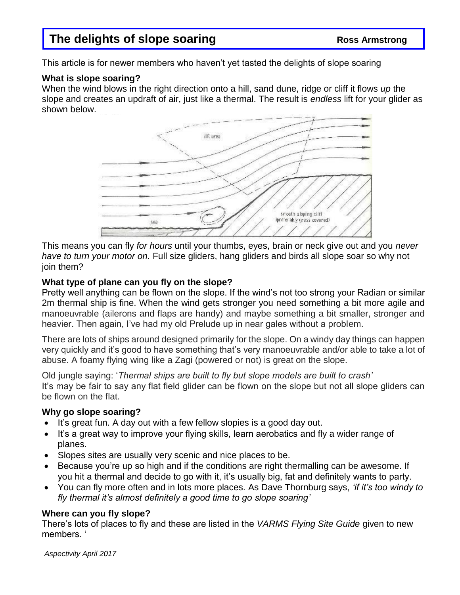## **The delights of slope soaring The delights of slope soaring Ross Armstrong**

This article is for newer members who haven't yet tasted the delights of slope soaring

### **What is slope soaring?**

When the wind blows in the right direction onto a hill, sand dune, ridge or cliff it flows *up* the slope and creates an updraft of air, just like a thermal. The result is *endless* lift for your glider as shown below.



This means you can fly *for hours* until your thumbs, eyes, brain or neck give out and you *never have to turn your motor on.* Full size gliders, hang gliders and birds all slope soar so why not join them?

### **What type of plane can you fly on the slope?**

Pretty well anything can be flown on the slope. If the wind's not too strong your Radian or similar 2m thermal ship is fine. When the wind gets stronger you need something a bit more agile and manoeuvrable (ailerons and flaps are handy) and maybe something a bit smaller, stronger and heavier. Then again, I've had my old Prelude up in near gales without a problem.

There are lots of ships around designed primarily for the slope. On a windy day things can happen very quickly and it's good to have something that's very manoeuvrable and/or able to take a lot of abuse. A foamy flying wing like a Zagi (powered or not) is great on the slope.

Old jungle saying: '*Thermal ships are built to fly but slope models are built to crash'* It's may be fair to say any flat field glider can be flown on the slope but not all slope gliders can be flown on the flat.

## **Why go slope soaring?**

- It's great fun. A day out with a few fellow slopies is a good day out.
- It's a great way to improve your flying skills, learn aerobatics and fly a wider range of planes.
- Slopes sites are usually very scenic and nice places to be.
- Because you're up so high and if the conditions are right thermalling can be awesome. If you hit a thermal and decide to go with it, it's usually big, fat and definitely wants to party.
- You can fly more often and in lots more places. As Dave Thornburg says, *'if it's too windy to fly thermal it's almost definitely a good time to go slope soaring'*

## **Where can you fly slope?**

There's lots of places to fly and these are listed in the *VARMS Flying Site Guide* given to new members. '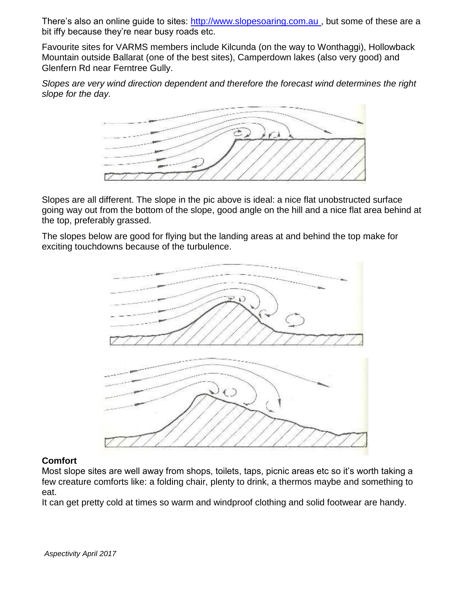There's also an online guide to sites: [http://www.slopesoaring.com.au](http://www.slopesoaring.com.au/) , but some of these are a bit iffy because they're near busy roads etc.

Favourite sites for VARMS members include Kilcunda (on the way to Wonthaggi), Hollowback Mountain outside Ballarat (one of the best sites), Camperdown lakes (also very good) and Glenfern Rd near Ferntree Gully.

*Slopes are very wind direction dependent and therefore the forecast wind determines the right slope for the day.*



Slopes are all different. The slope in the pic above is ideal: a nice flat unobstructed surface going way out from the bottom of the slope, good angle on the hill and a nice flat area behind at the top, preferably grassed.

The slopes below are good for flying but the landing areas at and behind the top make for exciting touchdowns because of the turbulence.



### **Comfort**

Most slope sites are well away from shops, toilets, taps, picnic areas etc so it's worth taking a few creature comforts like: a folding chair, plenty to drink, a thermos maybe and something to eat.

It can get pretty cold at times so warm and windproof clothing and solid footwear are handy.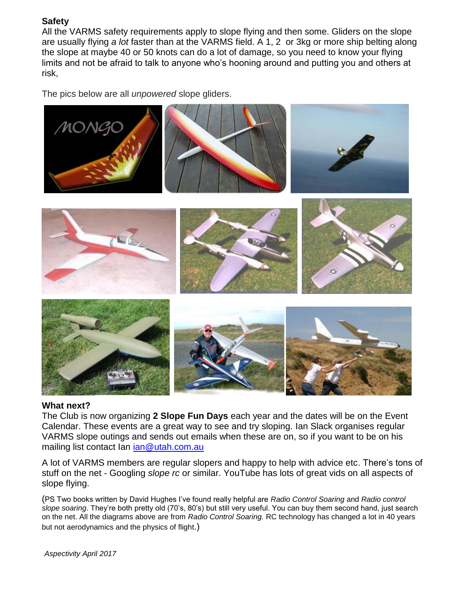### **Safety**

All the VARMS safety requirements apply to slope flying and then some. Gliders on the slope are usually flying *a lot* faster than at the VARMS field. A 1, 2 or 3kg or more ship belting along the slope at maybe 40 or 50 knots can do a lot of damage, so you need to know your flying limits and not be afraid to talk to anyone who's hooning around and putting you and others at risk,

The pics below are all *unpowered* slope gliders.



### **What next?**

The Club is now organizing **2 Slope Fun Days** each year and the dates will be on the Event Calendar. These events are a great way to see and try sloping. Ian Slack organises regular VARMS slope outings and sends out emails when these are on, so if you want to be on his mailing list contact Ian [ian@utah.com.au](mailto:ian@utah.com.au)

A lot of VARMS members are regular slopers and happy to help with advice etc. There's tons of stuff on the net - Googling *slope rc* or similar. YouTube has lots of great vids on all aspects of slope flying.

(PS Two books written by David Hughes I've found really helpful are *Radio Control Soaring* and *Radio control slope soaring*. They're both pretty old (70's, 80's) but still very useful. You can buy them second hand, just search on the net. All the diagrams above are from *Radio Control Soaring.* RC technology has changed a lot in 40 years but not aerodynamics and the physics of flight.)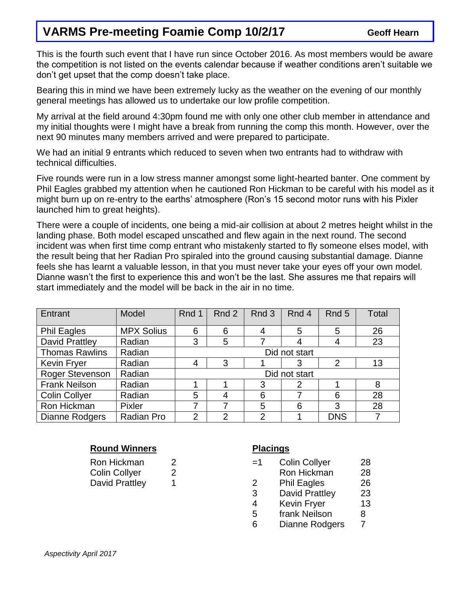## **VARMS Pre-meeting Foamie Comp 10/2/17** Geoff Hearn

This is the fourth such event that I have run since October 2016. As most members would be aware the competition is not listed on the events calendar because if weather conditions aren't suitable we don't get upset that the comp doesn't take place.

Bearing this in mind we have been extremely lucky as the weather on the evening of our monthly general meetings has allowed us to undertake our low profile competition.

My arrival at the field around 4:30pm found me with only one other club member in attendance and my initial thoughts were I might have a break from running the comp this month. However, over the next 90 minutes many members arrived and were prepared to participate.

We had an initial 9 entrants which reduced to seven when two entrants had to withdraw with technical difficulties.

Five rounds were run in a low stress manner amongst some light-hearted banter. One comment by Phil Eagles grabbed my attention when he cautioned Ron Hickman to be careful with his model as it might burn up on re-entry to the earths' atmosphere (Ron's 15 second motor runs with his Pixler launched him to great heights).

There were a couple of incidents, one being a mid-air collision at about 2 metres height whilst in the landing phase. Both model escaped unscathed and flew again in the next round. The second incident was when first time comp entrant who mistakenly started to fly someone elses model, with the result being that her Radian Pro spiraled into the ground causing substantial damage. Dianne feels she has learnt a valuable lesson, in that you must never take your eyes off your own model. Dianne wasn't the first to experience this and won't be the last. She assures me that repairs will start immediately and the model will be back in the air in no time.

| Entrant               | Model             | Rnd 1          | Rnd 2          | Rnd 3          | Rnd 4         | Rnd 5      | <b>Total</b> |
|-----------------------|-------------------|----------------|----------------|----------------|---------------|------------|--------------|
| <b>Phil Eagles</b>    | <b>MPX Solius</b> | 6              | 6              | 4              | 5             | 5          | 26           |
| <b>David Prattley</b> | Radian            | 3              | 5              |                |               | 4          | 23           |
| <b>Thomas Rawlins</b> | Radian            | Did not start  |                |                |               |            |              |
| <b>Kevin Fryer</b>    | Radian            | 4              | 3              |                | 3             | 2          | 13           |
| Roger Stevenson       | Radian            |                |                |                | Did not start |            |              |
| <b>Frank Neilson</b>  | Radian            |                |                | 3              | 2             |            | 8            |
| <b>Colin Collyer</b>  | Radian            | 5              | $\overline{4}$ | 6              |               | 6          | 28           |
| Ron Hickman           | Pixler            | ⇁              |                | 5              | 6             | 3          | 28           |
| <b>Dianne Rodgers</b> | Radian Pro        | $\overline{2}$ | 2              | $\overline{2}$ |               | <b>DNS</b> |              |

### **Round Winners Placings**

| <b>Ron Hickman</b>   | ∠ |
|----------------------|---|
| <b>Colin Collyer</b> | ∠ |
| David Prattley       |   |

| Ron Hickman |  | Colin Collyer | 28 |
|-------------|--|---------------|----|
|             |  |               |    |

- Physics 2 Ron Hickman 28
	- 2 Phil Eagles 26
	- 3 David Prattley 23
	- 4 Kevin Fryer 13
	- 5 frank Neilson 8
	- 6 Dianne Rodgers 7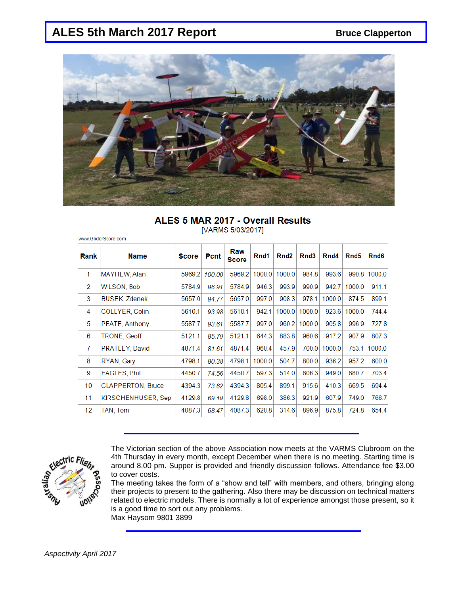## ALES 5th March 2017 Report **Bruce Clapperton**

www.GliderScore.com



### ALES 5 MAR 2017 - Overall Results [VARMS 5/03/2017]

| Rank            | <b>Name</b>              | <b>Score</b> | <b>Pcnt</b> | Raw<br><b>Score</b> | Rnd1   | Rnd <sub>2</sub> | Rnd3   | Rnd4   | Rnd <sub>5</sub> | Rnd6   |
|-----------------|--------------------------|--------------|-------------|---------------------|--------|------------------|--------|--------|------------------|--------|
| 1               | MAYHEW, Alan             | 5969.2       | 100.00      | 5969.2              | 1000.0 | 1000.0           | 984.8  | 993.6  | 990.8            | 1000.0 |
| 2               | <b>WILSON, Bob</b>       | 5784.9       | 96.91       | 5784.9              | 946.3  | 993.9            | 990.9  | 942.7  | 1000.0           | 911.1  |
| 3               | <b>BUSEK, Zdenek</b>     | 5657.0       | 94.77       | 5657.0              | 997.0  | 908.3            | 978.1  | 1000.0 | 874.5            | 899.1  |
| 4               | COLLYER, Colin           | 5610.1       | 93.98       | 5610.1              | 942.1  | 1000.0           | 1000.0 | 923.6  | 1000.0           | 744.4  |
| 5               | PEATE, Anthony           | 5587.7       | 93.61       | 5587.7              | 997.0  | 960.2            | 1000.0 | 905.8  | 996.9            | 727.8  |
| 6               | <b>TRONE, Geoff</b>      | 5121.1       | 85.79       | 5121.1              | 644.3  | 883.8            | 960.6  | 917.2  | 907.9            | 807.3  |
| 7               | PRATLEY, David           | 4871.4       | 81.61       | 4871.4              | 960.4  | 457.9            | 700.0  | 1000.0 | 753.1            | 1000.0 |
| 8               | RYAN, Gary               | 4798.1       | 80.38       | 4798.1              | 1000.0 | 504.7            | 800.0  | 936.2  | 957.2            | 600.0  |
| 9               | <b>EAGLES, Phil</b>      | 4450.7       | 74.56       | 4450.7              | 597.3  | 514.0            | 806.3  | 949.0  | 880.7            | 703.4  |
| 10              | <b>CLAPPERTON, Bruce</b> | 4394.3       | 73.62       | 4394.3              | 805.4  | 899.1            | 915.6  | 410.3  | 669.5            | 694.4  |
| 11              | KIRSCHENHUSER, Sep       | 4129.8       | 69.19       | 4129.8              | 698.0  | 386.3            | 921.9  | 607.9  | 749.0            | 766.7  |
| 12 <sup>2</sup> | TAN, Tom                 | 4087.3       | 68.47       | 4087.3              | 620.8  | 314.6            | 896.9  | 875.8  | 724.8            | 654.4  |



The Victorian section of the above Association now meets at the VARMS Clubroom on the 4th Thursday in every month, except December when there is no meeting. Starting time is around 8.00 pm. Supper is provided and friendly discussion follows. Attendance fee \$3.00 to cover costs.

The meeting takes the form of a "show and tell" with members, and others, bringing along their projects to present to the gathering. Also there may be discussion on technical matters related to electric models. There is normally a lot of experience amongst those present, so it is a good time to sort out any problems. Max Haysom 9801 3899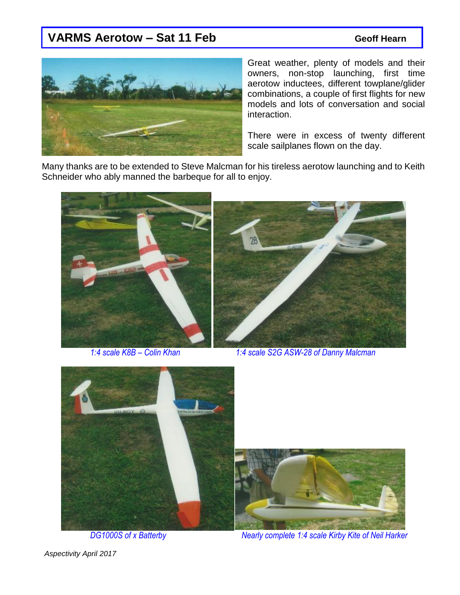## VARMS Aerotow – Sat 11 Feb **Bank Constructs** Geoff Hearn



Great weather, plenty of models and their owners, non-stop launching, first time aerotow inductees, different towplane/glider combinations, a couple of first flights for new models and lots of conversation and social interaction.

There were in excess of twenty different scale sailplanes flown on the day.

Many thanks are to be extended to Steve Malcman for his tireless aerotow launching and to Keith Schneider who ably manned the barbeque for all to enjoy.





*1:4 scale K8B – Colin Khan 1:4 scale S2G ASW-28 of Danny Malcman*



 *DG1000S of x Batterby Nearly complete 1:4 scale Kirby Kite of Neil Harker*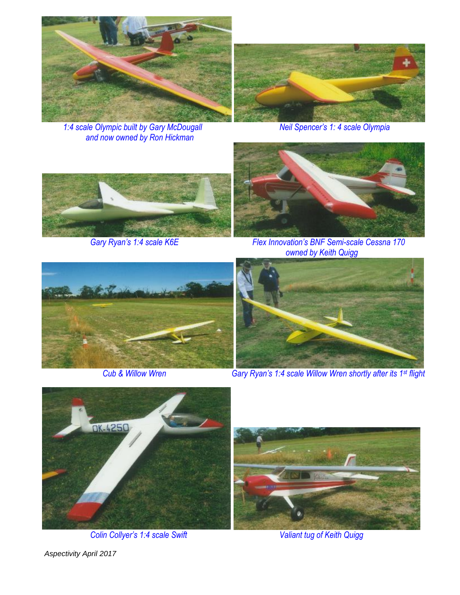

*1:4 scale Olympic built by Gary McDougall Neil Spencer's 1: 4 scale Olympia and now owned by Ron Hickman*







*Gary Ryan's 1:4 scale K6E Flex Innovation's BNF Semi-scale Cessna 170 owned by Keith Quigg*





 *Cub & Willow Wren Gary Ryan's 1:4 scale Willow Wren shortly after its 1st flight*



*Colin Collyer's 1:4 scale Swift Valiant tug of Keith Quigg*

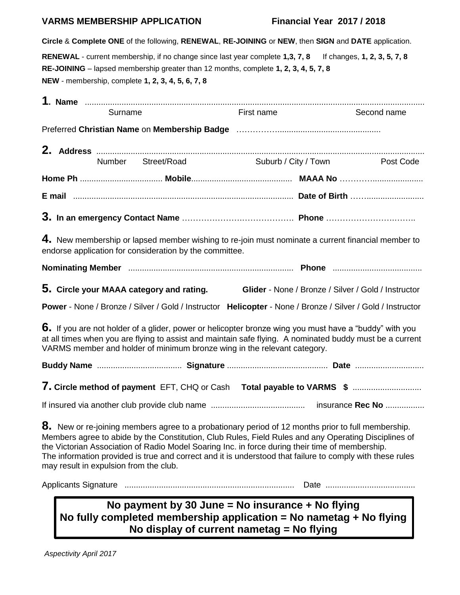### **VARMS MEMBERSHIP APPLICATION Financial Year 2017 / 2018**

**Circle** & **Complete ONE** of the following, **RENEWAL**, **RE-JOINING** or **NEW**, then **SIGN** and **DATE** application.

**RENEWAL** - current membership, if no change since last year complete **1,3, 7, 8** If changes, **1, 2, 3, 5, 7, 8 RE-JOINING** – lapsed membership greater than 12 months, complete **1, 2, 3, 4, 5, 7, 8 NEW** - membership, complete **1, 2, 3, 4, 5, 6, 7, 8**

|                                        | Surname |                                                         | First name                                                                                                                                                                                            | Second name                                                                                                                                                                                                                    |
|----------------------------------------|---------|---------------------------------------------------------|-------------------------------------------------------------------------------------------------------------------------------------------------------------------------------------------------------|--------------------------------------------------------------------------------------------------------------------------------------------------------------------------------------------------------------------------------|
|                                        |         |                                                         |                                                                                                                                                                                                       |                                                                                                                                                                                                                                |
|                                        |         | Number Street/Road                                      |                                                                                                                                                                                                       | Suburb / City / Town Post Code                                                                                                                                                                                                 |
|                                        |         |                                                         |                                                                                                                                                                                                       |                                                                                                                                                                                                                                |
|                                        |         |                                                         |                                                                                                                                                                                                       | E mail measurement contracts and the mail measurement of the contracts of Birth measurement of the contracts of Birth measurement of the contract of the contract of the contract of the contract of the contract of the contr |
|                                        |         |                                                         |                                                                                                                                                                                                       |                                                                                                                                                                                                                                |
|                                        |         | endorse application for consideration by the committee. |                                                                                                                                                                                                       | 4. New membership or lapsed member wishing to re-join must nominate a current financial member to                                                                                                                              |
|                                        |         |                                                         |                                                                                                                                                                                                       |                                                                                                                                                                                                                                |
|                                        |         | 5. Circle your MAAA category and rating.                |                                                                                                                                                                                                       | Glider - None / Bronze / Silver / Gold / Instructor                                                                                                                                                                            |
|                                        |         |                                                         |                                                                                                                                                                                                       | Power - None / Bronze / Silver / Gold / Instructor Helicopter - None / Bronze / Silver / Gold / Instructor                                                                                                                     |
|                                        |         |                                                         | VARMS member and holder of minimum bronze wing in the relevant category.                                                                                                                              | 6. If you are not holder of a glider, power or helicopter bronze wing you must have a "buddy" with you<br>at all times when you are flying to assist and maintain safe flying. A nominated buddy must be a current             |
|                                        |         |                                                         |                                                                                                                                                                                                       |                                                                                                                                                                                                                                |
|                                        |         |                                                         |                                                                                                                                                                                                       | 7. Circle method of payment EFT, CHQ or Cash Total payable to VARMS \$                                                                                                                                                         |
|                                        |         |                                                         |                                                                                                                                                                                                       |                                                                                                                                                                                                                                |
| may result in expulsion from the club. |         |                                                         | 8. New or re-joining members agree to a probationary period of 12 months prior to full membership.<br>the Victorian Association of Radio Model Soaring Inc. in force during their time of membership. | Members agree to abide by the Constitution, Club Rules, Field Rules and any Operating Disciplines of<br>The information provided is true and correct and it is understood that failure to comply with these rules              |
|                                        |         |                                                         |                                                                                                                                                                                                       |                                                                                                                                                                                                                                |
|                                        |         |                                                         | No payment by 30 June = No insurance + No flying<br>No fully completed membership application = No nametag + No flying                                                                                |                                                                                                                                                                                                                                |

**No display of current nametag = No flying**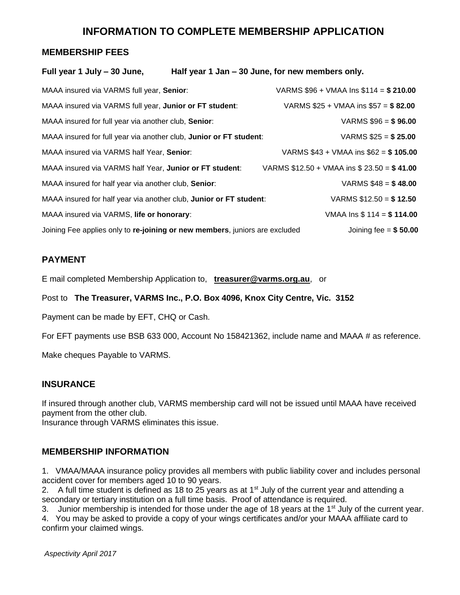## **INFORMATION TO COMPLETE MEMBERSHIP APPLICATION**

### **MEMBERSHIP FEES**

### **Full year 1 July – 30 June, Half year 1 Jan – 30 June, for new members only.**

| MAAA insured via VARMS full year, Senior:                                   | VARMS $$96 + VMAA$ Ins $$114 = $210.00$     |
|-----------------------------------------------------------------------------|---------------------------------------------|
| MAAA insured via VARMS full year, Junior or FT student:                     | VARMS $$25 + VMAA$ ins $$57 = $82.00$       |
| MAAA insured for full year via another club, Senior:                        | VARMS $$96 = $96.00$                        |
| MAAA insured for full year via another club, Junior or FT student:          | VARMS $$25 = $25.00$                        |
| MAAA insured via VARMS half Year, Senior:                                   | VARMS $$43 + VMAA$ ins $$62 = $105.00$      |
| MAAA insured via VARMS half Year, Junior or FT student:                     | VARMS $$12.50 + VMAA$ ins $$23.50 = $41.00$ |
| MAAA insured for half year via another club, Senior:                        | VARMS $$48 = $48.00$                        |
| MAAA insured for half year via another club, Junior or FT student:          | VARMS $$12.50 = $12.50$                     |
| MAAA insured via VARMS, life or honorary:                                   | VMAA Ins $$114 = $114.00$                   |
| Joining Fee applies only to re-joining or new members, juniors are excluded | Joining fee = $$50.00$                      |

### **PAYMENT**

E mail completed Membership Application to, **[treasurer@varms.org.au](mailto:treasurer@varms.org.au)**, or

Post to **The Treasurer, VARMS Inc., P.O. Box 4096, Knox City Centre, Vic. 3152**

Payment can be made by EFT, CHQ or Cash.

For EFT payments use BSB 633 000, Account No 158421362, include name and MAAA # as reference.

Make cheques Payable to VARMS.

### **INSURANCE**

If insured through another club, VARMS membership card will not be issued until MAAA have received payment from the other club.

Insurance through VARMS eliminates this issue.

### **MEMBERSHIP INFORMATION**

1. VMAA/MAAA insurance policy provides all members with public liability cover and includes personal accident cover for members aged 10 to 90 years.

2. A full time student is defined as 18 to 25 years as at  $1<sup>st</sup>$  July of the current year and attending a secondary or tertiary institution on a full time basis. Proof of attendance is required.

3. Junior membership is intended for those under the age of 18 years at the 1 $\rm{st}$  July of the current year.

4. You may be asked to provide a copy of your wings certificates and/or your MAAA affiliate card to confirm your claimed wings.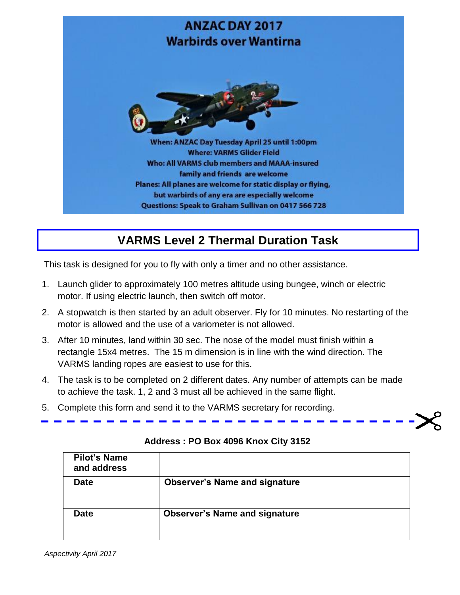

# **VARMS Level 2 Thermal Duration Task**

This task is designed for you to fly with only a timer and no other assistance.

- 1. Launch glider to approximately 100 metres altitude using bungee, winch or electric motor. If using electric launch, then switch off motor.
- 2. A stopwatch is then started by an adult observer. Fly for 10 minutes. No restarting of the motor is allowed and the use of a variometer is not allowed.
- 3. After 10 minutes, land within 30 sec. The nose of the model must finish within a rectangle 15x4 metres. The 15 m dimension is in line with the wind direction. The VARMS landing ropes are easiest to use for this.
- 4. The task is to be completed on 2 different dates. Any number of attempts can be made to achieve the task. 1, 2 and 3 must all be achieved in the same flight.
- 5. Complete this form and send it to the VARMS secretary for recording.

| <b>Pilot's Name</b><br>and address |                                      |
|------------------------------------|--------------------------------------|
| <b>Date</b>                        | <b>Observer's Name and signature</b> |
| <b>Date</b>                        | <b>Observer's Name and signature</b> |

## **Address : PO Box 4096 Knox City 3152**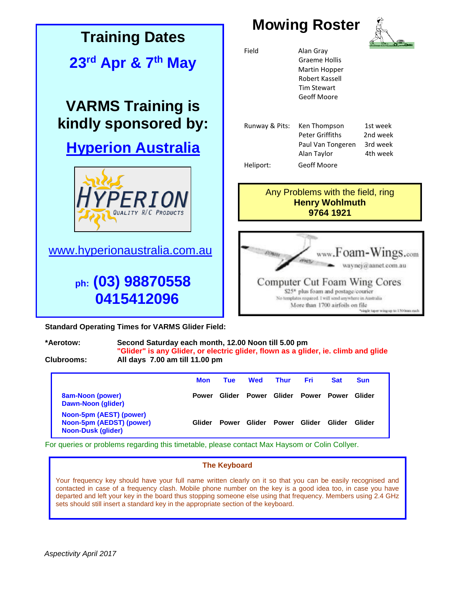

**\*Aerotow: Second Saturday each month, 12.00 Noon till 5.00 pm "Glider" is any Glider, or electric glider, flown as a glider, ie. climb and glide Clubrooms: All days 7.00 am till 11.00 pm**

|                                                                                  | <b>Mon</b>   | Tue          | <b>Wed</b>   | <b>Thur</b>  | Fri.   | <b>Sat</b>   | <b>Sun</b> |  |
|----------------------------------------------------------------------------------|--------------|--------------|--------------|--------------|--------|--------------|------------|--|
| <b>8am-Noon (power)</b><br>Dawn-Noon (glider)                                    | <b>Power</b> | Glider       | <b>Power</b> | Glider       | Power  | <b>Power</b> | Glider     |  |
| Noon-5pm (AEST) (power)<br>Noon-5pm (AEDST) (power)<br><b>Noon-Dusk (glider)</b> | Glider       | <b>Power</b> | Glider       | <b>Power</b> | Glider | Glider       | Glider     |  |

For queries or problems regarding this timetable, please contact Max Haysom or Colin Collyer.

### **The Keyboard**

Your frequency key should have your full name written clearly on it so that you can be easily recognised and contacted in case of a frequency clash. Mobile phone number on the key is a good idea too, in case you have departed and left your key in the board thus stopping someone else using that frequency. Members using 2.4 GHz sets should still insert a standard key in the appropriate section of the keyboard.

**All material published in Aspectivity is the copyright of the author of the article.**